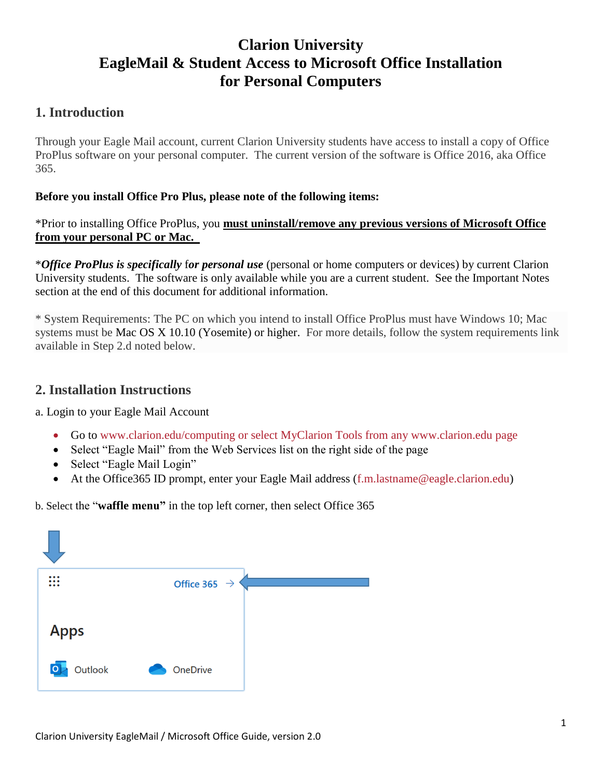# **Clarion University EagleMail & Student Access to Microsoft Office Installation for Personal Computers**

# **1. Introduction**

Through your Eagle Mail account, current Clarion University students have access to install a copy of Office ProPlus software on your personal computer. The current version of the software is Office 2016, aka Office 365.

#### **Before you install Office Pro Plus, please note of the following items:**

\*Prior to installing Office ProPlus, you **must uninstall/remove any previous versions of Microsoft Office from your personal PC or Mac.** 

\**Office ProPlus is specifically* f*or personal use* (personal or home computers or devices) by current Clarion University students. The software is only available while you are a current student. See the Important Notes section at the end of this document for additional information.

\* System Requirements: The PC on which you intend to install Office ProPlus must have Windows 10; Mac systems must be Mac OS X 10.10 (Yosemite) or higher. For more details, follow the system requirements link available in Step 2.d noted below.

### **2. Installation Instructions**

a. Login to your Eagle Mail Account

- Go to [www.clarion.edu/computing](http://www.clarion.edu/computing) or select MyClarion Tools from any [www.clarion.edu](http://www.clarion.edu/) page
- Select "Eagle Mail" from the Web Services list on the right side of the page
- Select "Eagle Mail Login"
- At the Office365 ID prompt, enter your Eagle Mail address [\(f.m.lastname@eagle.clarion.edu\)](mailto:f.m.lastname@eagle.clarion.edu)

b. Select the "**waffle menu"** in the top left corner, then select Office 365

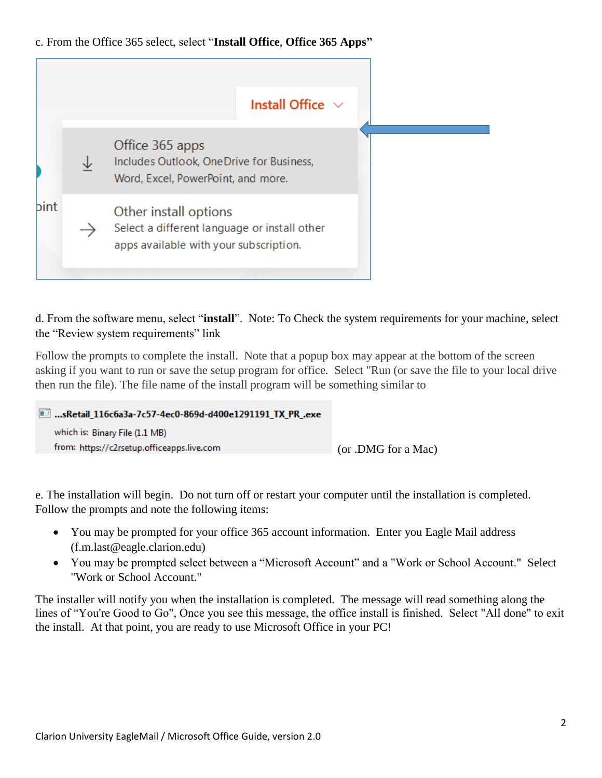#### c. From the Office 365 select, select "**Install Office**, **Office 365 Apps"**



d. From the software menu, select "**install**". Note: To Check the system requirements for your machine, select the "Review system requirements" link

Follow the prompts to complete the install. Note that a popup box may appear at the bottom of the screen asking if you want to run or save the setup program for office. Select "Run (or save the file to your local drive then run the file). The file name of the install program will be something similar to

| ■ sRetail 116c6a3a-7c57-4ec0-869d-d400e1291191 TX PR .exe |                     |
|-----------------------------------------------------------|---------------------|
| which is: Binary File (1.1 MB)                            |                     |
| from: https://c2rsetup.officeapps.live.com                | (or .DMG for a Mac) |
|                                                           |                     |

e. The installation will begin. Do not turn off or restart your computer until the installation is completed. Follow the prompts and note the following items:

- You may be prompted for your office 365 account information. Enter you Eagle Mail address [\(f.m.last@eagle.clarion.edu\)](mailto:f.m.last@eagle.clarion.edu)
- You may be prompted select between a "Microsoft Account" and a "Work or School Account." Select "Work or School Account."

The installer will notify you when the installation is completed. The message will read something along the lines of "You're Good to Go", Once you see this message, the office install is finished. Select "All done" to exit the install. At that point, you are ready to use Microsoft Office in your PC!